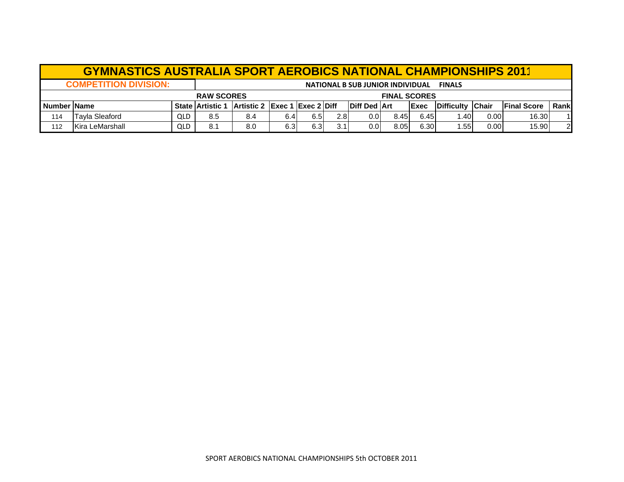|     | <b>GYMNASTICS AUSTRALIA SPORT AEROBICS NATIONAL CHAMPIONSHIPS 2011</b>                                                                                                                         |            |     |     |     |      |     |      |      |      |      |      |       |    |
|-----|------------------------------------------------------------------------------------------------------------------------------------------------------------------------------------------------|------------|-----|-----|-----|------|-----|------|------|------|------|------|-------|----|
|     | <b>COMPETITION DIVISION:</b><br><b>NATIONAL B SUB JUNIOR INDIVIDUAL</b><br><b>FINALS</b>                                                                                                       |            |     |     |     |      |     |      |      |      |      |      |       |    |
|     | <b>RAW SCORES</b><br><b>FINAL SCORES</b>                                                                                                                                                       |            |     |     |     |      |     |      |      |      |      |      |       |    |
|     | Artistic 2 Exec 1 Exec 2 Diff<br><b>IDiff Ded IArt</b><br><b>IChair</b><br><b>Number Name</b><br><b>IExec</b><br><b>IDifficulty</b><br><b>State Artistic 1</b><br><b>IFinal Score</b><br>Rankl |            |     |     |     |      |     |      |      |      |      |      |       |    |
| 114 | <b>Tayla Sleaford</b>                                                                                                                                                                          | <b>QLD</b> | 8.5 | 8.4 | 6.4 | 6.5I | 2.8 | 0.01 | 8.45 | 6.45 | . 40 | 0.00 | 16.30 | 11 |
| 112 | Kira LeMarshall                                                                                                                                                                                | QLD        | 8.1 | 8.0 | 6.3 | 6.3  | 3.1 | 0.01 | 8.05 | 6.30 | .55  | 0.00 | 15.90 | 2  |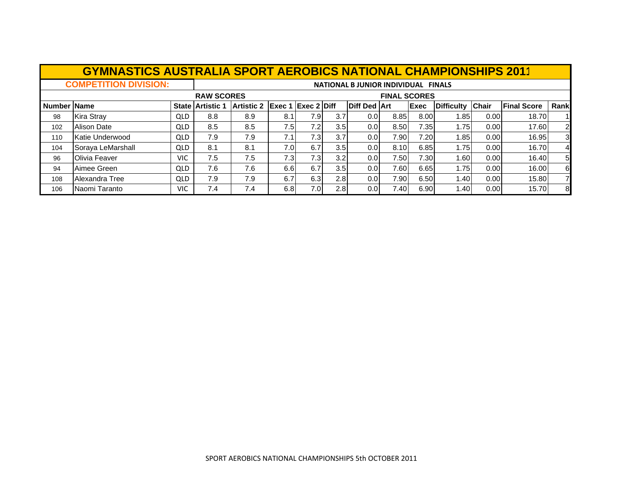|             | <b>GYMNASTICS AUSTRALIA SPORT AEROBICS NATIONAL CHAMPIONSHIPS 2011</b> |            |                       |                               |      |      |                  |                                     |                     |      |                   |              |                    |                |
|-------------|------------------------------------------------------------------------|------------|-----------------------|-------------------------------|------|------|------------------|-------------------------------------|---------------------|------|-------------------|--------------|--------------------|----------------|
|             | <b>COMPETITION DIVISION:</b>                                           |            |                       |                               |      |      |                  | NATIONAL B JUNIOR INDIVIDUAL FINALS |                     |      |                   |              |                    |                |
|             |                                                                        |            | <b>RAW SCORES</b>     |                               |      |      |                  |                                     | <b>FINAL SCORES</b> |      |                   |              |                    |                |
| Number Name |                                                                        |            | <b>State Artistic</b> | Artistic 2 Exec 1 Exec 2 Diff |      |      |                  | <b>Diff Ded Art</b>                 |                     | Exec | <b>Difficulty</b> | <b>Chair</b> | <b>Final Score</b> | Rank           |
| 98          | <b>Kira Stray</b>                                                      | QLD        | 8.8                   | 8.9                           | 8.1  | 7.9I | 3.7              | 0.0                                 | 8.85                | 8.00 | 1.851             | 0.00         | 18.70              |                |
| 102         | <b>Alison Date</b>                                                     | QLD        | 8.5                   | 8.5                           | 7.5  | 7.2  | 3.5              | 0.0                                 | 8.50                | 7.35 | 1.75              | 0.00         | 17.60              | $\overline{2}$ |
| 110         | Katie Underwood                                                        | <b>QLD</b> | 7.9                   | 7.9                           | 7.1  | 7.3  | 3.7              | 0.0                                 | 7.90                | 7.20 | 1.85 l            | 0.00         | 16.95              | 3              |
| 104         | Soraya LeMarshall                                                      | <b>QLD</b> | 8.1                   | 8.1                           | 7.0I | 6.7  | 3.5 <sub>l</sub> | 0.0                                 | 8.10                | 6.85 | 1.75              | 0.00         | 16.70              | $\overline{4}$ |
| 96          | Olivia Feaver                                                          | <b>VIC</b> | 7.5                   | 7.5                           | 7.3  | 7.3I | 3.2              | 0.0 <sub>l</sub>                    | 7.50                | 7.30 | 1.60              | 0.00         | 16.40              | 5              |
| 94          | Aimee Green                                                            | QLD        | 7.6                   | 7.6                           | 6.6  | 6.7  | 3.5 <sub>l</sub> | 0.0                                 | 7.60                | 6.65 | 1.75              | 0.00         | 16.00              | 6              |
| 108         | Alexandra Tree                                                         | QLD        | 7.9                   | 7.9                           | 6.7  | 6.3  | 2.8              | 0.0                                 | 7.90                | 6.50 | 1.40              | 0.00         | 15.80              | 7              |
| 106         | Naomi Taranto                                                          | <b>VIC</b> | 7.4                   | 7.4                           | 6.8  | 7.0  | 2.8              | 0.0                                 | 7.40                | 6.90 | 1.40              | 0.00         | 15.70              | 8              |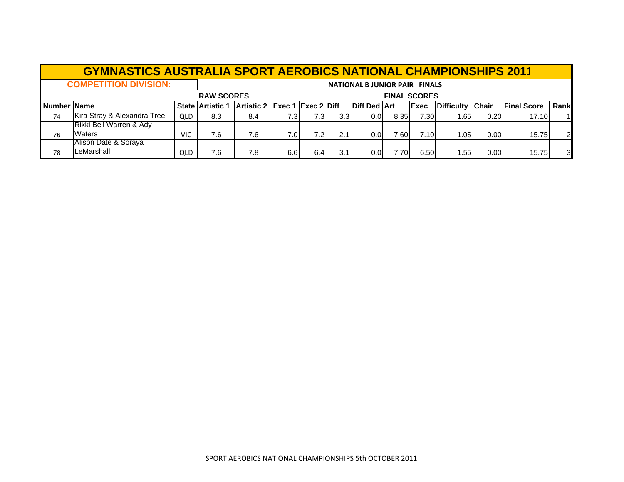|             | <b>GYMNASTICS AUSTRALIA SPORT AEROBICS NATIONAL CHAMPIONSHIPS 2011</b> |     |                         |                               |      |      |                  |                                     |       |                     |                   |              |                     |                |
|-------------|------------------------------------------------------------------------|-----|-------------------------|-------------------------------|------|------|------------------|-------------------------------------|-------|---------------------|-------------------|--------------|---------------------|----------------|
|             | <b>COMPETITION DIVISION:</b>                                           |     |                         |                               |      |      |                  | <b>NATIONAL BJUNIOR PAIR FINALS</b> |       |                     |                   |              |                     |                |
|             |                                                                        |     | <b>RAW SCORES</b>       |                               |      |      |                  |                                     |       | <b>FINAL SCORES</b> |                   |              |                     |                |
| Number Name |                                                                        |     | <b>State Artistic 1</b> | Artistic 2 Exec 1 Exec 2 Diff |      |      |                  | <b>Diff Ded Art</b>                 |       | <b>Exec</b>         | <b>Difficulty</b> | <b>Chair</b> | <b>IFinal Score</b> | Rank           |
| 74          | Kira Stray & Alexandra Tree                                            | QLD | 8.3                     | 8.4                           | 7.3  | 7.3  | 3.3 <sub>l</sub> | 0.01                                | 8.35  | 7.30                | 1.651             | 0.20         | 17.10               |                |
|             | Rikki Bell Warren & Ady                                                |     |                         |                               |      |      |                  |                                     |       |                     |                   |              |                     |                |
| 76          | <b>Waters</b>                                                          | VIC | 7.6                     | 7.6                           | 7.01 | 7.2I | 2.1              | 0.01                                | 7.60I | 7.10                | 1.05              | 0.00         | 15.75               | $\overline{2}$ |
|             | Alison Date & Soraya                                                   |     |                         |                               |      |      |                  |                                     |       |                     |                   |              |                     |                |
| 78          | LeMarshall                                                             | QLD | 7.6                     | 7.8                           | 6.6  | 6.4  | 3.1              | 0.01                                | 7.70I | 6.50                | 1.551             | 0.00         | 15.75               | 3              |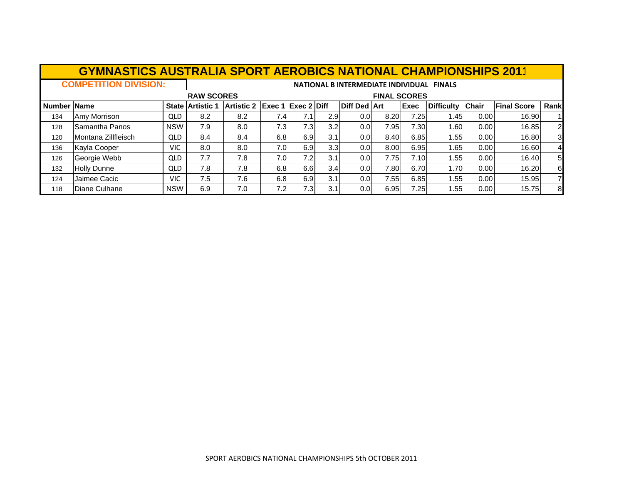|                    | <b>GYMNASTICS AUSTRALIA SPORT AEROBICS NATIONAL CHAMPIONSHIPS 2011</b> |            |                         |                   |                                              |      |                  |                     |                     |             |                                           |              |                    |                |
|--------------------|------------------------------------------------------------------------|------------|-------------------------|-------------------|----------------------------------------------|------|------------------|---------------------|---------------------|-------------|-------------------------------------------|--------------|--------------------|----------------|
|                    | <b>COMPETITION DIVISION:</b>                                           |            |                         |                   |                                              |      |                  |                     |                     |             | NATIONAL B INTERMEDIATE INDIVIDUAL FINALS |              |                    |                |
|                    |                                                                        |            | <b>RAW SCORES</b>       |                   |                                              |      |                  |                     | <b>FINAL SCORES</b> |             |                                           |              |                    |                |
| <b>Number Name</b> |                                                                        |            | <b>State Artistic 1</b> | <b>Artistic 2</b> | $\left  {\text{Exec 1}} \right $ Exec 2 Diff |      |                  | <b>Diff Ded Art</b> |                     | <b>Exec</b> | <b>Difficulty</b>                         | <b>Chair</b> | <b>Final Score</b> | Rank           |
| 134                | Amy Morrison                                                           | QLD        | 8.2                     | 8.2               | 7.4                                          | 7.1  | 2.91             | 0.0                 | 8.20                | 7.25        | 1.45                                      | 0.00         | 16.90              |                |
| 128                | Samantha Panos                                                         | <b>NSW</b> | 7.9                     | 8.0               | 7.3                                          | 7.3I | 3.2              | 0.01                | 7.95                | 7.30        | 1.60                                      | 0.00         | 16.85              | $\overline{2}$ |
| 120                | Montana Zillfleisch                                                    | QLD        | 8.4                     | 8.4               | 6.8                                          | 6.9  | 3.1              | 0.01                | 8.40                | 6.85        | 1.55                                      | 0.00         | 16.80              | 3 <sup>l</sup> |
| 136                | Kayla Cooper                                                           | VIC.       | 8.0                     | 8.0               | 7.0I                                         | 6.9  | 3.3 <sub>l</sub> | 0.01                | 8.00                | 6.95        | 1.65                                      | 0.00         | 16.60              | $\overline{4}$ |
| 126                | Georgie Webb                                                           | QLD        | 7.7                     | 7.8               | 7.0 <sub>l</sub>                             | 7.2  | 3.1              | 0.01                | 7.75                | 7.10        | 1.55                                      | 0.00         | 16.40              | 5 <sub>l</sub> |
| 132                | <b>Holly Dunne</b>                                                     | QLD        | 7.8                     | 7.8               | 6.8                                          | 6.6  | 3.4              | 0.01                | 7.80                | 6.70        | 1.70                                      | 0.00         | 16.20              | 6              |
| 124                | Jaimee Cacic                                                           | <b>VIC</b> | 7.5                     | 7.6               | 6.8                                          | 6.9  | 3.1              | 0.01                | 7.55                | 6.85        | 1.55                                      | 0.00         | 15.95              | 71             |
| 118                | Diane Culhane                                                          | <b>NSW</b> | 6.9                     | 7.0               | 7.2                                          | 7.3  | 3.1              | 0.0                 | 6.95                | 7.25        | 1.55                                      | 0.00         | 15.75              | 8 <sup>l</sup> |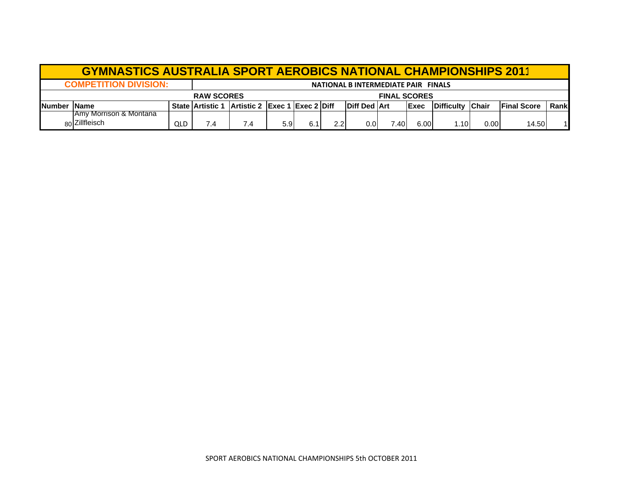|               | <b>GYMNASTICS AUSTRALIA SPORT AEROBICS NATIONAL CHAMPIONSHIPS 2011</b> |     |                         |                               |                  |     |                  |                      |       |       |                    |              |                     |       |
|---------------|------------------------------------------------------------------------|-----|-------------------------|-------------------------------|------------------|-----|------------------|----------------------|-------|-------|--------------------|--------------|---------------------|-------|
|               | <b>COMPETITION DIVISION:</b><br>NATIONAL B INTERMEDIATE PAIR FINALS    |     |                         |                               |                  |     |                  |                      |       |       |                    |              |                     |       |
|               | <b>FINAL SCORES</b><br><b>RAW SCORES</b>                               |     |                         |                               |                  |     |                  |                      |       |       |                    |              |                     |       |
| <b>Number</b> | <b>IName</b>                                                           |     | <b>State Artistic 1</b> | Artistic 2 Exec 1 Exec 2 Diff |                  |     |                  | <b>IDiff Ded Art</b> |       | lExec | <b>IDifficulty</b> | <b>Chair</b> | <b>IFinal Score</b> | Rankl |
|               | <b>JAmy Morrison &amp; Montana</b>                                     |     |                         |                               |                  |     |                  |                      |       |       |                    |              |                     |       |
|               | 80 Zillfleisch                                                         | QLD | 7.4                     | 7.4                           | 5.9 <sub>1</sub> | 6.1 | 2.2 <sub>l</sub> | 0.01                 | 7.40I | 6.00  | 1.10               | 0.00         | 14.50               |       |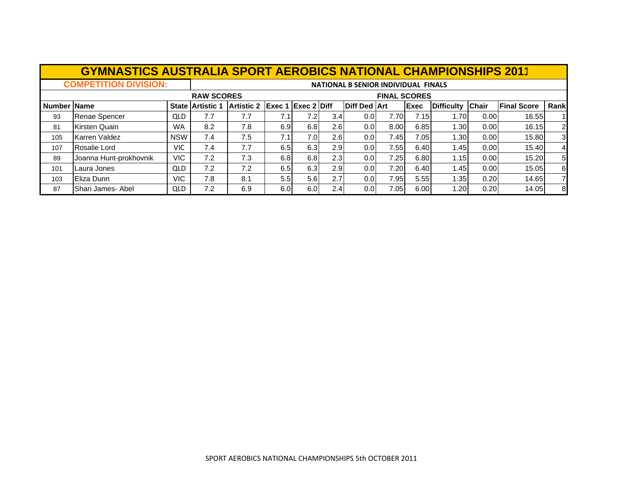|             | <b>GYMNASTICS AUSTRALIA SPORT AEROBICS NATIONAL CHAMPIONSHIPS 2011</b> |            |                         |                               |     |     |                  |                                            |                     |      |                   |              |                    |                |
|-------------|------------------------------------------------------------------------|------------|-------------------------|-------------------------------|-----|-----|------------------|--------------------------------------------|---------------------|------|-------------------|--------------|--------------------|----------------|
|             | <b>COMPETITION DIVISION:</b>                                           |            |                         |                               |     |     |                  | <b>NATIONAL B SENIOR INDIVIDUAL FINALS</b> |                     |      |                   |              |                    |                |
|             |                                                                        |            | <b>RAW SCORES</b>       |                               |     |     |                  |                                            | <b>FINAL SCORES</b> |      |                   |              |                    |                |
| Number Name |                                                                        |            | <b>State Artistic 1</b> | Artistic 2 Exec 1 Exec 2 Diff |     |     |                  | <b>Diff Ded Art</b>                        |                     | Exec | <b>Difficulty</b> | <b>Chair</b> | <b>Final Score</b> | Rank           |
| 93          | <b>Renae Spencer</b>                                                   | <b>QLD</b> | 7.7                     | 7.7                           | 7.1 | 7.2 | 3.4 <sub>l</sub> | 0.0 <sub>l</sub>                           | 7.70                | 7.15 | 1.701             | 0.00         | 16.55              |                |
| 81          | Kirsten Quain                                                          | <b>WA</b>  | 8.2                     | 7.8                           | 6.9 | 6.8 | 2.6              | 0.01                                       | 8.00                | 6.85 | 1.30I             | 0.00         | 16.15              | $\overline{2}$ |
| 105         | Karren Valdez                                                          | <b>NSW</b> | 7.4                     | 7.5                           | 7.1 | 7.0 | 2.6              | 0.01                                       | 7.45                | 7.05 | 1.30              | 0.00         | 15.80              | $\overline{3}$ |
| 107         | Rosalie Lord                                                           | VIC.       | 7.4                     | 7.7                           | 6.5 | 6.3 | 2.9              | 0.01                                       | 7.55                | 6.40 | 1.45              | 0.00         | 15.40              | $\overline{4}$ |
| 89          | Joanna Hunt-prokhovnik                                                 | <b>VIC</b> | 7.2                     | 7.3                           | 6.8 | 6.8 | 2.3              | 0.01                                       | 7.25                | 6.80 | 1.15              | 0.00         | 15.20              | 5 <sup>1</sup> |
| 101         | Laura Jones                                                            | <b>QLD</b> | 7.2                     | 7.2                           | 6.5 | 6.3 | 2.9              | 0.01                                       | 7.20                | 6.40 | 1.45              | 0.00         | 15.05              | 6              |
| 103         | Eliza Dunn                                                             | VIC        | 7.8                     | 8.1                           | 5.5 | 5.6 | 2.7              | 0.0 <sub>l</sub>                           | 7.95                | 5.55 | 1.35              | 0.20         | 14.65              | 7              |
| 87          | Shari James-Abel                                                       | <b>QLD</b> | 7.2                     | 6.9                           | 6.0 | 6.0 | 2.4              | 0.0 <sub>l</sub>                           | 7.05                | 6.00 | 1.20              | 0.20         | 14.05              | 8              |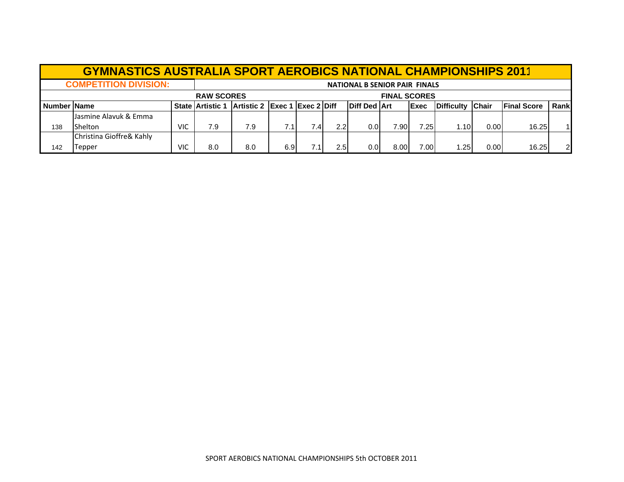|                | <b>GYMNASTICS AUSTRALIA SPORT AEROBICS NATIONAL CHAMPIONSHIPS 2011</b> |     |                         |                               |                  |      |     |                                      |                     |              |                   |              |                     |      |
|----------------|------------------------------------------------------------------------|-----|-------------------------|-------------------------------|------------------|------|-----|--------------------------------------|---------------------|--------------|-------------------|--------------|---------------------|------|
|                | <b>COMPETITION DIVISION:</b>                                           |     |                         |                               |                  |      |     | <b>NATIONAL B SENIOR PAIR FINALS</b> |                     |              |                   |              |                     |      |
|                |                                                                        |     | <b>RAW SCORES</b>       |                               |                  |      |     |                                      | <b>FINAL SCORES</b> |              |                   |              |                     |      |
| I Number IName |                                                                        |     | <b>State Artistic 1</b> | Artistic 2 Exec 1 Exec 2 Diff |                  |      |     | <b>Diff Ded Art</b>                  |                     | <b>IExec</b> | <b>Difficulty</b> | <b>Chair</b> | <b>IFinal Score</b> | Rank |
|                | Jasmine Alavuk & Emma                                                  |     |                         |                               |                  |      |     |                                      |                     |              |                   |              |                     |      |
| 138            | Shelton                                                                | VIC | 7.9                     | 7.9                           | 7.1 <sub>1</sub> | 7.41 | 2.2 | 0.01                                 | 7.90                | 7.25         | 1.10              | 0.00         | 16.25               |      |
|                | Christina Gioffre& Kahly                                               |     |                         |                               |                  |      |     |                                      |                     |              |                   |              |                     |      |
| 142            | Tepper                                                                 | VIC | 8.0                     | 8.0                           | 6.9              |      | 2.5 | 0.01                                 | 8.00                | 7.00         | .25               | 0.00         | 16.25               | 2    |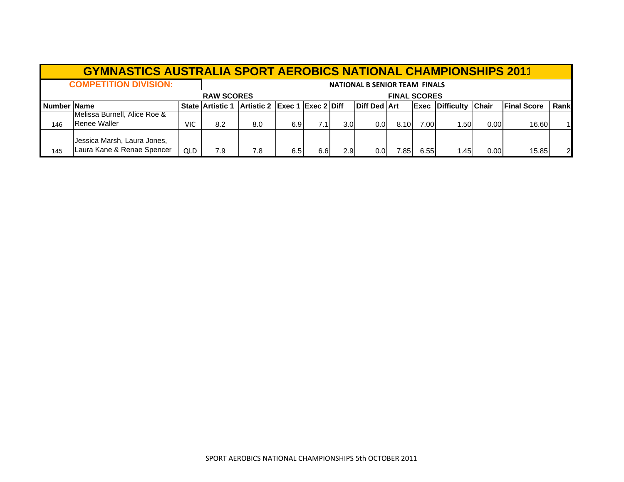|               | <b>GYMNASTICS AUSTRALIA SPORT AEROBICS NATIONAL CHAMPIONSHIPS 2011</b> |            |                         |                               |     |      |                  |                                      |                     |      |                        |              |                     |      |
|---------------|------------------------------------------------------------------------|------------|-------------------------|-------------------------------|-----|------|------------------|--------------------------------------|---------------------|------|------------------------|--------------|---------------------|------|
|               | <b>COMPETITION DIVISION:</b>                                           |            |                         |                               |     |      |                  | <b>NATIONAL B SENIOR TEAM FINALS</b> |                     |      |                        |              |                     |      |
|               |                                                                        |            | <b>RAW SCORES</b>       |                               |     |      |                  |                                      | <b>FINAL SCORES</b> |      |                        |              |                     |      |
| Number   Name |                                                                        |            | <b>State Artistic 1</b> | Artistic 2 Exec 1 Exec 2 Diff |     |      |                  | <b>Diff Ded Art</b>                  |                     |      | <b>Exec Difficulty</b> | <b>Chair</b> | <b>IFinal Score</b> | Rank |
| 146           | Melissa Burnell, Alice Roe &<br>Renee Waller                           | VIC        | 8.2                     | 8.0                           | 6.9 | 7.1I | 3.0 <sub>l</sub> | 0.01                                 | 8.10                | 7.00 | 1.501                  | 0.00         | 16.60               |      |
| 145           | Jessica Marsh, Laura Jones,<br>Laura Kane & Renae Spencer              | <b>QLD</b> | 7.9                     | 7.8                           | 6.5 | 6.6  | 2.9              | 0.01                                 | .851                | 6.55 | ا 45. ا                | 0.00         | 15.85               |      |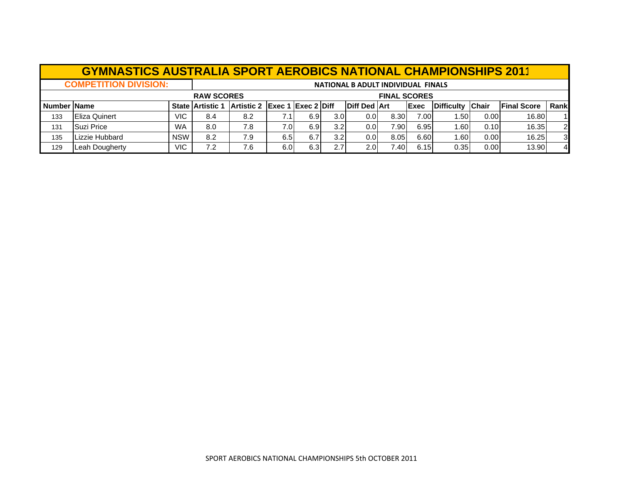|             | <b>GYMNASTICS AUSTRALIA SPORT AEROBICS NATIONAL CHAMPIONSHIPS 2011</b> |            |                                                                                                                                                                      |                                          |      |     |                  |                                    |      |      |      |      |       |                |  |  |
|-------------|------------------------------------------------------------------------|------------|----------------------------------------------------------------------------------------------------------------------------------------------------------------------|------------------------------------------|------|-----|------------------|------------------------------------|------|------|------|------|-------|----------------|--|--|
|             | <b>COMPETITION DIVISION:</b>                                           |            |                                                                                                                                                                      |                                          |      |     |                  | NATIONAL B ADULT INDIVIDUAL FINALS |      |      |      |      |       |                |  |  |
|             |                                                                        |            |                                                                                                                                                                      | <b>RAW SCORES</b><br><b>FINAL SCORES</b> |      |     |                  |                                    |      |      |      |      |       |                |  |  |
| Number Name |                                                                        |            | Rank<br><b>Diff Ded Art</b><br>Artistic 2 Exec 1 Exec 2 Diff<br><b>Final Score</b><br><b>IChair</b><br><b>IDifficulty</b><br><b>State Artistic 1</b><br><b>IExec</b> |                                          |      |     |                  |                                    |      |      |      |      |       |                |  |  |
| 133         | <b>Eliza Quinert</b>                                                   | VIC.       | 8.4                                                                                                                                                                  | 8.2                                      |      | 6.9 | 3.0 <sub>l</sub> | 0.0 <sub>l</sub>                   | 8.30 | 7.00 | 1.50 | 0.00 | 16.80 |                |  |  |
| 131         | Suzi Price                                                             | <b>WA</b>  | 8.0                                                                                                                                                                  | 7.8                                      | 7.0I | 6.9 | 3.2 <sub>l</sub> | 0.0 <sub>l</sub>                   | 7.90 | 6.95 | 1.60 | 0.10 | 16.35 | 2              |  |  |
| 135         | Lizzie Hubbard                                                         | <b>NSW</b> | 8.2                                                                                                                                                                  | 7.9                                      | 6.5I | 6.7 | 3.2 <sub>l</sub> | 0.0                                | 8.05 | 6.60 | 1.60 | 0.00 | 16.25 | $\overline{3}$ |  |  |
| 129         | Leah Dougherty                                                         | VIC.       | 7.2                                                                                                                                                                  | 7.6                                      | 6.0  | 6.3 | 2.7              | 2.0                                | 7.40 | 6.15 | 0.35 | 0.00 | 13.90 | $\overline{4}$ |  |  |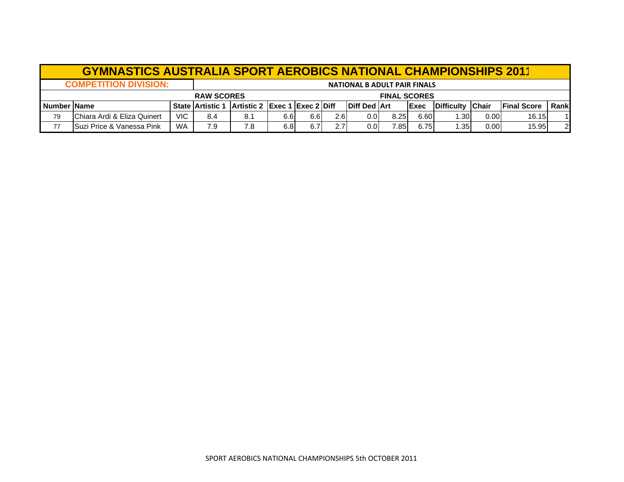|    | <b>GYMNASTICS AUSTRALIA SPORT AEROBICS NATIONAL CHAMPIONSHIPS 2011</b>                                                                                                                       |            |     |     |      |      |     |                                     |      |      |       |      |       |    |
|----|----------------------------------------------------------------------------------------------------------------------------------------------------------------------------------------------|------------|-----|-----|------|------|-----|-------------------------------------|------|------|-------|------|-------|----|
|    | <b>COMPETITION DIVISION:</b>                                                                                                                                                                 |            |     |     |      |      |     | <b>NATIONAL B ADULT PAIR FINALS</b> |      |      |       |      |       |    |
|    | <b>FINAL SCORES</b><br><b>RAW SCORES</b>                                                                                                                                                     |            |     |     |      |      |     |                                     |      |      |       |      |       |    |
|    | Artistic 2 Exec 1 Exec 2 Diff<br><b>IDiff Ded IArt</b><br><b>Chair</b><br><b>Number Name</b><br><b>Difficulty</b><br><b>IFinal Score</b><br><b>IExec</b><br><b>State Artistic 1</b><br>Rankl |            |     |     |      |      |     |                                     |      |      |       |      |       |    |
| 79 | <b>IChiara Ardi &amp; Eliza Quinert</b>                                                                                                                                                      | <b>VIC</b> | 8.4 | 8.1 | 6.6I | 6.61 | 2.6 | 0.01                                | 8.25 | 6.60 | 1.301 | 0.00 | 16.15 | 11 |
| 77 | <b>Suzi Price &amp; Vanessa Pink</b>                                                                                                                                                         | <b>WA</b>  | 7.9 | 7.8 | 6.8  | 6.7  | 2.7 | 0.01                                | 7.85 | 6.75 | 1.351 | 0.00 | 15.95 | 2  |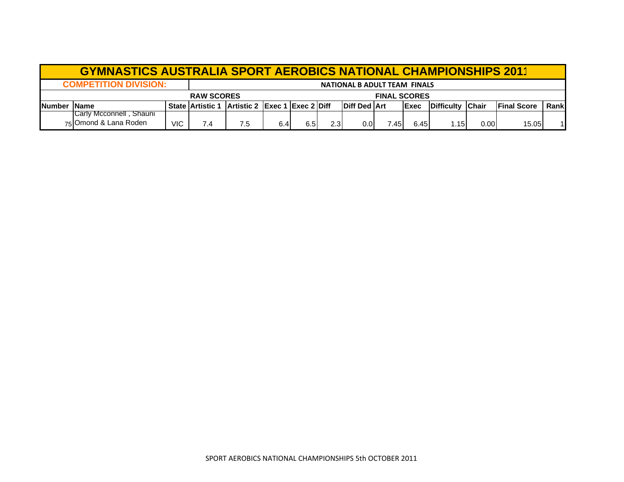|               | <b>GYMNASTICS AUSTRALIA SPORT AEROBICS NATIONAL CHAMPIONSHIPS 2011</b> |      |     |                                                |                     |     |                  |                                     |       |              |                    |              |                     |      |
|---------------|------------------------------------------------------------------------|------|-----|------------------------------------------------|---------------------|-----|------------------|-------------------------------------|-------|--------------|--------------------|--------------|---------------------|------|
|               | <b>COMPETITION DIVISION:</b>                                           |      |     |                                                |                     |     |                  | <b>NATIONAL B ADULT TEAM FINALS</b> |       |              |                    |              |                     |      |
|               |                                                                        |      |     |                                                | <b>FINAL SCORES</b> |     |                  |                                     |       |              |                    |              |                     |      |
| <b>Number</b> | <b>IName</b>                                                           |      |     | State Artistic 1 Artistic 2 Exec 1 Exec 2 Diff |                     |     |                  | <b>Diff Ded Art</b>                 |       | <b>IExec</b> | <b>IDifficulty</b> | <b>Chair</b> | <b>IFinal Score</b> | Rank |
|               | <b>ICarly Mcconnell . Shauni</b><br>75 Omond & Lana Roden              | VIC. | 7.4 |                                                | 6.4                 | 6.5 | 2.3 <sub>1</sub> | 0.0                                 | 7.451 | 6.45         | 1.15               | 0.00         | 15.05               |      |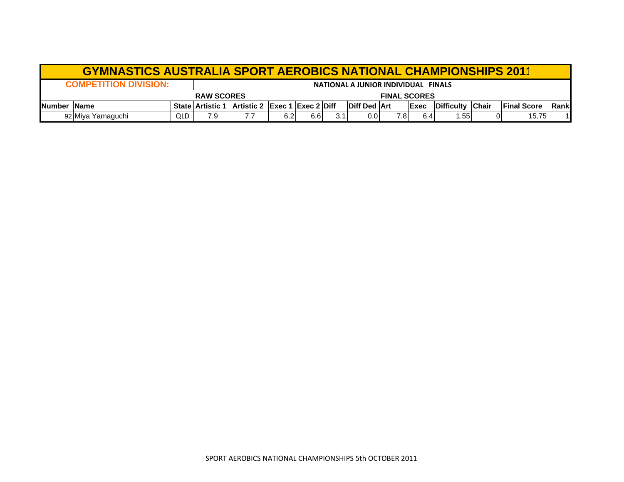|                      | <b>GYMNASTICS AUSTRALIA SPORT AEROBICS NATIONAL CHAMPIONSHIPS 2011</b> |     |                                                |  |      |      |     |                       |      |              |            |               |                     |       |  |
|----------------------|------------------------------------------------------------------------|-----|------------------------------------------------|--|------|------|-----|-----------------------|------|--------------|------------|---------------|---------------------|-------|--|
|                      | <b>COMPETITION DIVISION:</b><br>NATIONAL A JUNIOR INDIVIDUAL FINALS    |     |                                                |  |      |      |     |                       |      |              |            |               |                     |       |  |
|                      | <b>RAW SCORES</b><br><b>FINAL SCORES</b>                               |     |                                                |  |      |      |     |                       |      |              |            |               |                     |       |  |
| <b>INumber IName</b> |                                                                        |     | State Artistic 1 Artistic 2 Exec 1 Exec 2 Diff |  |      |      |     | <b>IDiff Ded IArt</b> |      | <b>IExec</b> | Difficulty | <b>IChair</b> | <b>IFinal Score</b> | Rankl |  |
|                      | 92 Miya Yamaguchi                                                      | QLD | 7.9                                            |  | 6.21 | 6.61 | 3.1 | 0.OI                  | 7.8I | 6.4          | .55        |               | 15.75               |       |  |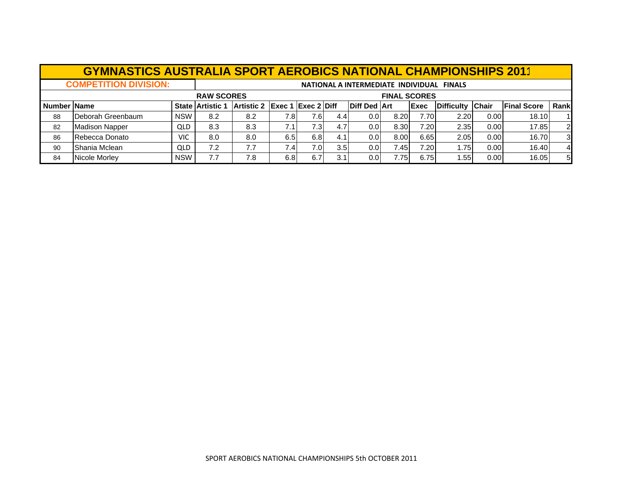|                                          | <b>GYMNASTICS AUSTRALIA SPORT AEROBICS NATIONAL CHAMPIONSHIPS 2011</b> |            |                                           |                               |      |                  |                  |                     |      |              |                  |      |                    |                |
|------------------------------------------|------------------------------------------------------------------------|------------|-------------------------------------------|-------------------------------|------|------------------|------------------|---------------------|------|--------------|------------------|------|--------------------|----------------|
|                                          | <b>COMPETITION DIVISION:</b>                                           |            | NATIONAL A INTERMEDIATE INDIVIDUAL FINALS |                               |      |                  |                  |                     |      |              |                  |      |                    |                |
| <b>RAW SCORES</b><br><b>FINAL SCORES</b> |                                                                        |            |                                           |                               |      |                  |                  |                     |      |              |                  |      |                    |                |
| Number Name                              |                                                                        |            | <b>State Artistic 1</b>                   | Artistic 2 Exec 1 Exec 2 Diff |      |                  |                  | <b>Diff Ded Art</b> |      | <b>IExec</b> | Difficulty Chair |      | <b>Final Score</b> | Rank           |
| 88                                       | Deborah Greenbaum                                                      | <b>NSW</b> | 8.2                                       | 8.2                           | 7.8I | 7.6I             | 4.4              | 0.01                | 8.20 | 7.701        | 2.20             | 0.00 | 18.10              |                |
| 82                                       | <b>Madison Napper</b>                                                  | <b>QLD</b> | 8.3                                       | 8.3                           | 7.1  | 7.3 <sub>l</sub> | 4.7              | 0.01                | 8.30 | 7.20         | 2.35             | 0.00 | 17.85              | $\overline{2}$ |
| 86                                       | Rebecca Donato                                                         | VIC        | 8.0                                       | 8.0                           | 6.5  | 6.8              | 4.1              | 0.0                 | 8.00 | 6.65         | 2.05             | 0.00 | 16.70              | 3              |
| 90                                       | Shania Mclean                                                          | <b>QLD</b> | 7.2                                       | 7.7                           | 7.4  | 7.OI             | 3.5 <sub>l</sub> | 0.01                | 7.45 | 7.201        | 1.75             | 0.00 | 16.40              | $\overline{4}$ |
| 84                                       | Nicole Morley                                                          | <b>NSW</b> | 7.7                                       | 7.8                           | 6.8  | 6.7              | 3.1              | 0.01                | 7.75 | 6.75         | 1.55I            | 0.00 | 16.05              | 5              |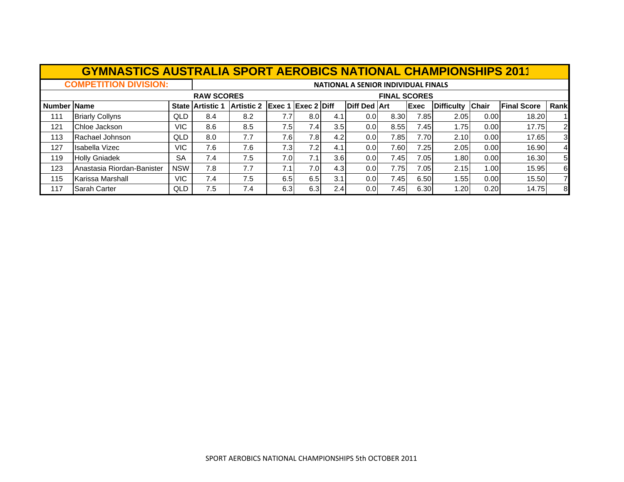|             | <b>GYMNASTICS AUSTRALIA SPORT AEROBICS NATIONAL CHAMPIONSHIPS 2011</b> |            |                                     |                               |      |                  |                  |                     |                     |      |                   |              |                    |                |
|-------------|------------------------------------------------------------------------|------------|-------------------------------------|-------------------------------|------|------------------|------------------|---------------------|---------------------|------|-------------------|--------------|--------------------|----------------|
|             | <b>COMPETITION DIVISION:</b>                                           |            | NATIONAL A SENIOR INDIVIDUAL FINALS |                               |      |                  |                  |                     |                     |      |                   |              |                    |                |
|             |                                                                        |            | <b>RAW SCORES</b>                   |                               |      |                  |                  |                     | <b>FINAL SCORES</b> |      |                   |              |                    |                |
| Number Name |                                                                        |            | <b>State Artistic 1</b>             | Artistic 2 Exec 1 Exec 2 Diff |      |                  |                  | <b>Diff Ded Art</b> |                     | Exec | <b>Difficulty</b> | <b>Chair</b> | <b>Final Score</b> | Rank           |
| 111         | <b>Briarly Collyns</b>                                                 | QLD        | 8.4                                 | 8.2                           | 7.7  | 8.0              | 4.1              | 0.01                | 8.30                | 7.85 | 2.05              | 0.00         | 18.20              |                |
| 121         | Chloe Jackson                                                          | <b>VIC</b> | 8.6                                 | 8.5                           | 7.5  | 7.4              | 3.5              | 0.01                | 8.55                | 7.45 | 1.751             | 0.00         | 17.75              | $\overline{2}$ |
| 113         | Rachael Johnson                                                        | QLD        | 8.0                                 | 7.7                           | 7.6I | 7.8 <sub>l</sub> | 4.2              | 0.0 <sub>l</sub>    | 7.85                | 7.70 | 2.10              | 0.00         | 17.65              | $\overline{3}$ |
| 127         | Isabella Vizec                                                         | <b>VIC</b> | 7.6                                 | 7.6                           | 7.3I | 7.2              | 4.1              | 0.0 <sub>l</sub>    | 7.60                | 7.25 | 2.05              | 0.00         | 16.90              | $\overline{4}$ |
| 119         | <b>Holly Gniadek</b>                                                   | <b>SA</b>  | 7.4                                 | 7.5                           | 7.0  | 7.1              | 3.6 <sub>l</sub> | 0.0 <sub>l</sub>    | 7.45                | 7.05 | 1.80              | 0.00         | 16.30              | 5 <sup>1</sup> |
| 123         | Anastasia Riordan-Banister                                             | <b>NSW</b> | 7.8                                 | 7.7                           | 7.1  | 7.0 <sub>l</sub> | 4.3 <sub>l</sub> | 0.0 <sub>l</sub>    | 7.75                | 7.05 | 2.15              | 1.00         | 15.95              | 6              |
| 115         | Karissa Marshall                                                       | VIC.       | 7.4                                 | 7.5                           | 6.5  | 6.5              | 3.1              | 0.0 <sub>l</sub>    | 7.45                | 6.50 | 1.55              | 0.00         | 15.50              | $\overline{7}$ |
| 117         | <b>Sarah Carter</b>                                                    | QLD        | 7.5                                 | 7.4                           | 6.3  | 6.3              | 2.4              | 0.0 <sub>l</sub>    | 7.45                | 6.30 | 1.20              | 0.20         | 14.75              | 8              |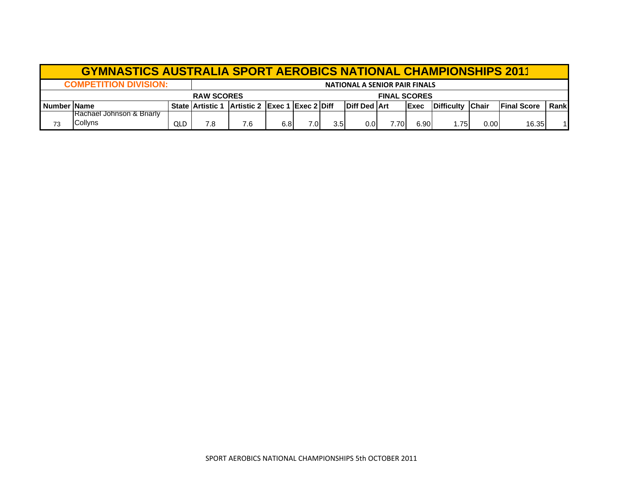| <b>GYMNASTICS AUSTRALIA SPORT AEROBICS NATIONAL CHAMPIONSHIPS 2011</b> |                                      |     |                                                |     |     |      |                     |                       |       |              |            |              |                     |       |
|------------------------------------------------------------------------|--------------------------------------|-----|------------------------------------------------|-----|-----|------|---------------------|-----------------------|-------|--------------|------------|--------------|---------------------|-------|
| <b>COMPETITION DIVISION:</b><br>NATIONAL A SENIOR PAIR FINALS          |                                      |     |                                                |     |     |      |                     |                       |       |              |            |              |                     |       |
| <b>RAW SCORES</b>                                                      |                                      |     |                                                |     |     |      | <b>FINAL SCORES</b> |                       |       |              |            |              |                     |       |
| <b>Number Name</b>                                                     |                                      |     | State Artistic 1 Artistic 2 Exec 1 Exec 2 Diff |     |     |      |                     | <b>IDiff Ded IArt</b> |       | <b>IExec</b> | Difficulty | <b>Chair</b> | <b>IFinal Score</b> | Rankl |
|                                                                        | <b>Rachael Johnson &amp; Briarly</b> |     |                                                |     |     |      |                     |                       |       |              |            |              |                     |       |
| 73                                                                     | Collyns                              | QLD | 7.8                                            | 7.6 | 6.8 | 7.01 | 3.5 <sub>l</sub>    | 0.01                  | 7.701 | 6.90         | 1.75       | 0.00         | 16.35               |       |